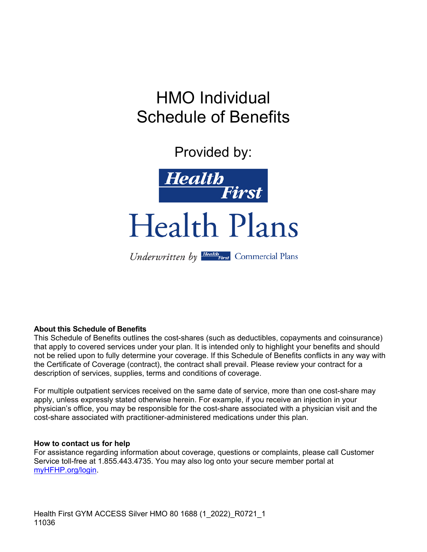# HMO Individual Schedule of Benefits

Provided by:



Health Plans

#### Underwritten by Health First Commercial Plans

#### **About this Schedule of Benefits**

This Schedule of Benefits outlines the cost-shares (such as deductibles, copayments and coinsurance) that apply to covered services under your plan. It is intended only to highlight your benefits and should not be relied upon to fully determine your coverage. If this Schedule of Benefits conflicts in any way with the Certificate of Coverage (contract), the contract shall prevail. Please review your contract for a description of services, supplies, terms and conditions of coverage.

For multiple outpatient services received on the same date of service, more than one cost-share may apply, unless expressly stated otherwise herein. For example, if you receive an injection in your physician's office, you may be responsible for the cost-share associated with a physician visit and the cost-share associated with practitioner-administered medications under this plan.

#### **How to contact us for help**

For assistance regarding information about coverage, questions or complaints, please call Customer Service toll-free at 1.855.443.4735. You may also log onto your secure member portal at myHFHP.org/login.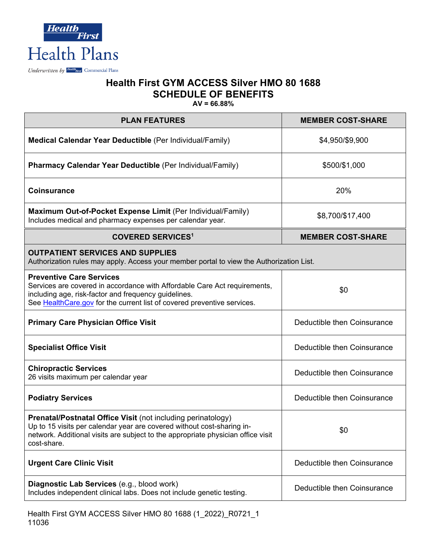

| <b>PLAN FEATURES</b>                                                                                                                                                                                                                             | <b>MEMBER COST-SHARE</b>    |  |
|--------------------------------------------------------------------------------------------------------------------------------------------------------------------------------------------------------------------------------------------------|-----------------------------|--|
| Medical Calendar Year Deductible (Per Individual/Family)                                                                                                                                                                                         | \$4,950/\$9,900             |  |
| <b>Pharmacy Calendar Year Deductible (Per Individual/Family)</b>                                                                                                                                                                                 | \$500/\$1,000               |  |
| <b>Coinsurance</b>                                                                                                                                                                                                                               | 20%                         |  |
| Maximum Out-of-Pocket Expense Limit (Per Individual/Family)<br>Includes medical and pharmacy expenses per calendar year.                                                                                                                         | \$8,700/\$17,400            |  |
| <b>COVERED SERVICES<sup>1</sup></b>                                                                                                                                                                                                              | <b>MEMBER COST-SHARE</b>    |  |
| <b>OUTPATIENT SERVICES AND SUPPLIES</b><br>Authorization rules may apply. Access your member portal to view the Authorization List.                                                                                                              |                             |  |
| <b>Preventive Care Services</b><br>Services are covered in accordance with Affordable Care Act requirements,<br>including age, risk-factor and frequency guidelines.<br>See Health Care.gov for the current list of covered preventive services. | \$0                         |  |
| <b>Primary Care Physician Office Visit</b>                                                                                                                                                                                                       | Deductible then Coinsurance |  |
| <b>Specialist Office Visit</b>                                                                                                                                                                                                                   | Deductible then Coinsurance |  |
| <b>Chiropractic Services</b><br>26 visits maximum per calendar year                                                                                                                                                                              | Deductible then Coinsurance |  |
| <b>Podiatry Services</b>                                                                                                                                                                                                                         | Deductible then Coinsurance |  |
| Prenatal/Postnatal Office Visit (not including perinatology)<br>Up to 15 visits per calendar year are covered without cost-sharing in-<br>network. Additional visits are subject to the appropriate physician office visit<br>cost-share.        | \$0                         |  |
| <b>Urgent Care Clinic Visit</b>                                                                                                                                                                                                                  | Deductible then Coinsurance |  |
| Diagnostic Lab Services (e.g., blood work)<br>Includes independent clinical labs. Does not include genetic testing.                                                                                                                              | Deductible then Coinsurance |  |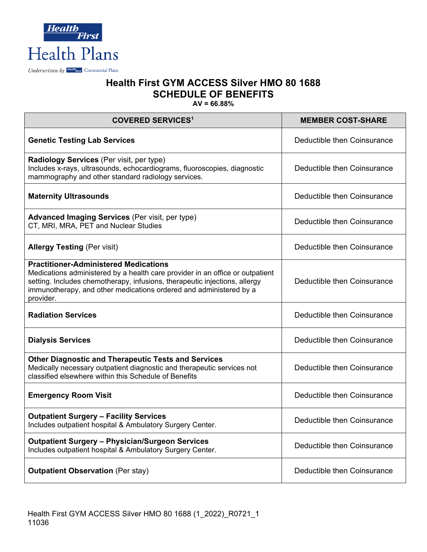

| <b>COVERED SERVICES1</b>                                                                                                                                                                                                                                                                       | <b>MEMBER COST-SHARE</b>    |
|------------------------------------------------------------------------------------------------------------------------------------------------------------------------------------------------------------------------------------------------------------------------------------------------|-----------------------------|
| <b>Genetic Testing Lab Services</b>                                                                                                                                                                                                                                                            | Deductible then Coinsurance |
| <b>Radiology Services</b> (Per visit, per type)<br>Includes x-rays, ultrasounds, echocardiograms, fluoroscopies, diagnostic<br>mammography and other standard radiology services.                                                                                                              | Deductible then Coinsurance |
| <b>Maternity Ultrasounds</b>                                                                                                                                                                                                                                                                   | Deductible then Coinsurance |
| <b>Advanced Imaging Services (Per visit, per type)</b><br>CT, MRI, MRA, PET and Nuclear Studies                                                                                                                                                                                                | Deductible then Coinsurance |
| <b>Allergy Testing (Per visit)</b>                                                                                                                                                                                                                                                             | Deductible then Coinsurance |
| <b>Practitioner-Administered Medications</b><br>Medications administered by a health care provider in an office or outpatient<br>setting. Includes chemotherapy, infusions, therapeutic injections, allergy<br>immunotherapy, and other medications ordered and administered by a<br>provider. | Deductible then Coinsurance |
| <b>Radiation Services</b>                                                                                                                                                                                                                                                                      | Deductible then Coinsurance |
| <b>Dialysis Services</b>                                                                                                                                                                                                                                                                       | Deductible then Coinsurance |
| <b>Other Diagnostic and Therapeutic Tests and Services</b><br>Medically necessary outpatient diagnostic and therapeutic services not<br>classified elsewhere within this Schedule of Benefits                                                                                                  | Deductible then Coinsurance |
| <b>Emergency Room Visit</b>                                                                                                                                                                                                                                                                    | Deductible then Coinsurance |
| <b>Outpatient Surgery - Facility Services</b><br>Includes outpatient hospital & Ambulatory Surgery Center.                                                                                                                                                                                     | Deductible then Coinsurance |
| <b>Outpatient Surgery - Physician/Surgeon Services</b><br>Includes outpatient hospital & Ambulatory Surgery Center.                                                                                                                                                                            | Deductible then Coinsurance |
| <b>Outpatient Observation (Per stay)</b>                                                                                                                                                                                                                                                       | Deductible then Coinsurance |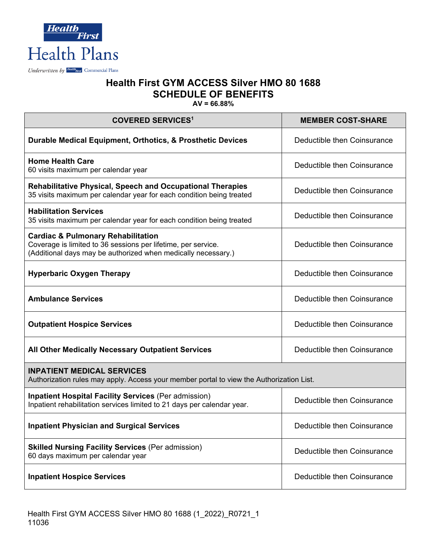

| <b>COVERED SERVICES<sup>1</sup></b>                                                                                                                                             | <b>MEMBER COST-SHARE</b>    |  |
|---------------------------------------------------------------------------------------------------------------------------------------------------------------------------------|-----------------------------|--|
| Durable Medical Equipment, Orthotics, & Prosthetic Devices                                                                                                                      | Deductible then Coinsurance |  |
| <b>Home Health Care</b><br>60 visits maximum per calendar year                                                                                                                  | Deductible then Coinsurance |  |
| <b>Rehabilitative Physical, Speech and Occupational Therapies</b><br>35 visits maximum per calendar year for each condition being treated                                       | Deductible then Coinsurance |  |
| <b>Habilitation Services</b><br>35 visits maximum per calendar year for each condition being treated                                                                            | Deductible then Coinsurance |  |
| <b>Cardiac &amp; Pulmonary Rehabilitation</b><br>Coverage is limited to 36 sessions per lifetime, per service.<br>(Additional days may be authorized when medically necessary.) | Deductible then Coinsurance |  |
| <b>Hyperbaric Oxygen Therapy</b>                                                                                                                                                | Deductible then Coinsurance |  |
| <b>Ambulance Services</b>                                                                                                                                                       | Deductible then Coinsurance |  |
| <b>Outpatient Hospice Services</b>                                                                                                                                              | Deductible then Coinsurance |  |
| All Other Medically Necessary Outpatient Services                                                                                                                               | Deductible then Coinsurance |  |
| <b>INPATIENT MEDICAL SERVICES</b><br>Authorization rules may apply. Access your member portal to view the Authorization List.                                                   |                             |  |
| <b>Inpatient Hospital Facility Services (Per admission)</b><br>Inpatient rehabilitation services limited to 21 days per calendar year.                                          | Deductible then Coinsurance |  |
| <b>Inpatient Physician and Surgical Services</b>                                                                                                                                | Deductible then Coinsurance |  |
| <b>Skilled Nursing Facility Services (Per admission)</b><br>60 days maximum per calendar year                                                                                   | Deductible then Coinsurance |  |
| <b>Inpatient Hospice Services</b>                                                                                                                                               | Deductible then Coinsurance |  |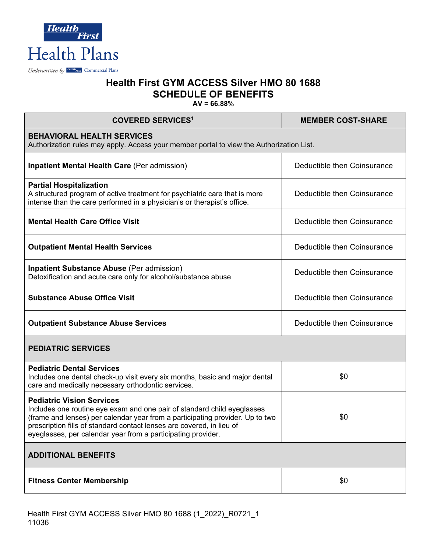

| <b>COVERED SERVICES1</b>                                                                                                                                                                                                                                                                                                              | <b>MEMBER COST-SHARE</b>    |  |
|---------------------------------------------------------------------------------------------------------------------------------------------------------------------------------------------------------------------------------------------------------------------------------------------------------------------------------------|-----------------------------|--|
| <b>BEHAVIORAL HEALTH SERVICES</b><br>Authorization rules may apply. Access your member portal to view the Authorization List.                                                                                                                                                                                                         |                             |  |
| <b>Inpatient Mental Health Care (Per admission)</b>                                                                                                                                                                                                                                                                                   | Deductible then Coinsurance |  |
| <b>Partial Hospitalization</b><br>A structured program of active treatment for psychiatric care that is more<br>intense than the care performed in a physician's or therapist's office.                                                                                                                                               | Deductible then Coinsurance |  |
| <b>Mental Health Care Office Visit</b>                                                                                                                                                                                                                                                                                                | Deductible then Coinsurance |  |
| <b>Outpatient Mental Health Services</b>                                                                                                                                                                                                                                                                                              | Deductible then Coinsurance |  |
| <b>Inpatient Substance Abuse (Per admission)</b><br>Detoxification and acute care only for alcohol/substance abuse                                                                                                                                                                                                                    | Deductible then Coinsurance |  |
| <b>Substance Abuse Office Visit</b>                                                                                                                                                                                                                                                                                                   | Deductible then Coinsurance |  |
| <b>Outpatient Substance Abuse Services</b>                                                                                                                                                                                                                                                                                            | Deductible then Coinsurance |  |
| <b>PEDIATRIC SERVICES</b>                                                                                                                                                                                                                                                                                                             |                             |  |
| <b>Pediatric Dental Services</b><br>Includes one dental check-up visit every six months, basic and major dental<br>care and medically necessary orthodontic services.                                                                                                                                                                 | \$0                         |  |
| <b>Pediatric Vision Services</b><br>Includes one routine eye exam and one pair of standard child eyeglasses<br>(frame and lenses) per calendar year from a participating provider. Up to two<br>prescription fills of standard contact lenses are covered, in lieu of<br>eyeglasses, per calendar year from a participating provider. | \$0                         |  |
| <b>ADDITIONAL BENEFITS</b>                                                                                                                                                                                                                                                                                                            |                             |  |
| <b>Fitness Center Membership</b>                                                                                                                                                                                                                                                                                                      | \$0                         |  |